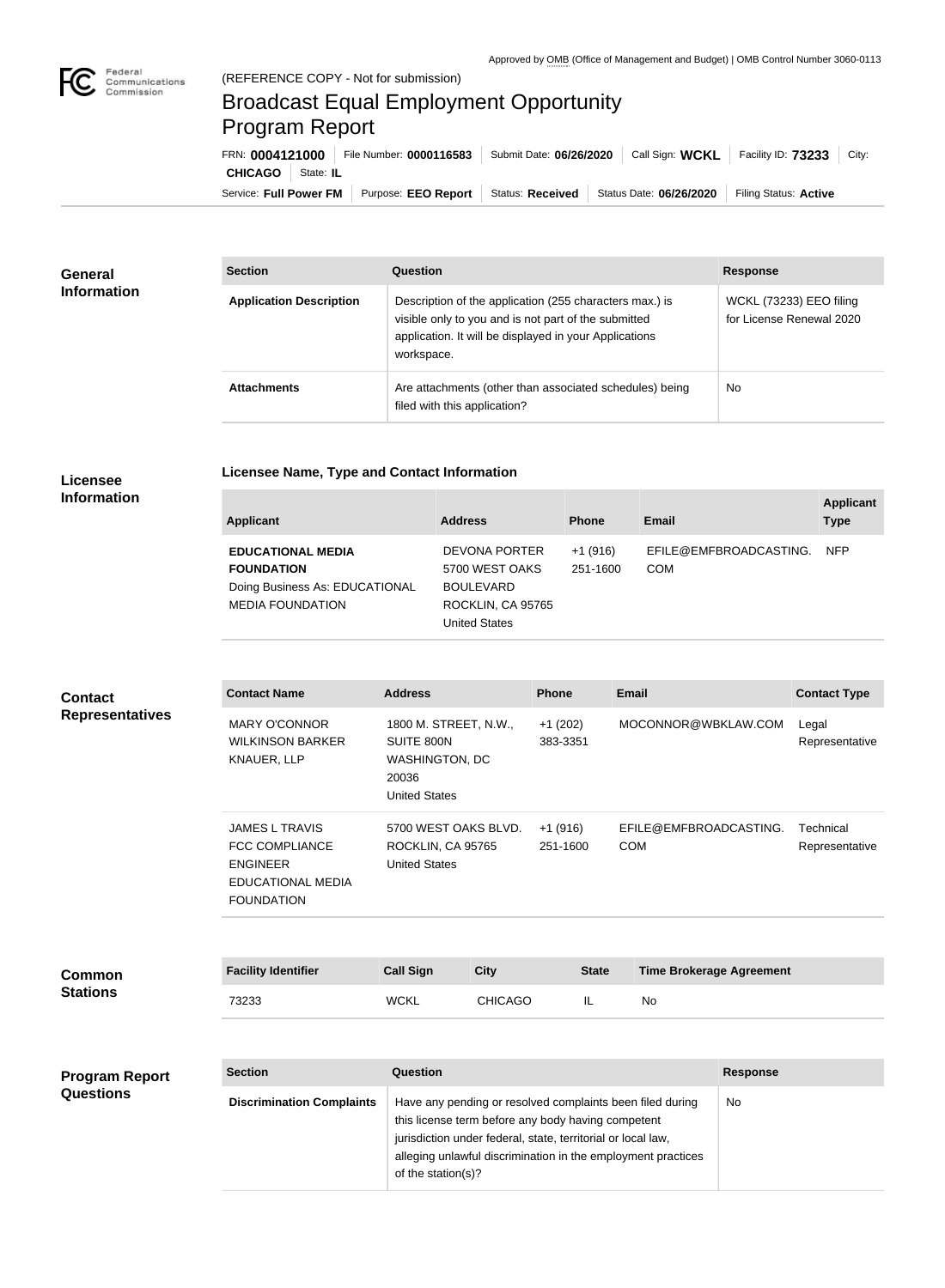

## Broadcast Equal Employment Opportunity Program Report

**Licensee Name, Type and Contact Information**

| FRN: 0004121000        |           | File Number: 0000116583 | Submit Date: 06/26/2020 | Call Sign: WCKL                            | Facility ID: 73233<br>City: |
|------------------------|-----------|-------------------------|-------------------------|--------------------------------------------|-----------------------------|
| <b>CHICAGO</b>         | State: IL |                         |                         |                                            |                             |
| Service: Full Power FM |           | Purpose: EEO Report     |                         | Status: Received   Status Date: 06/26/2020 | Filing Status: Active       |

| <b>General</b><br><b>Information</b> | <b>Section</b>                 | Question                                                                                                                                                                                | <b>Response</b>                                            |
|--------------------------------------|--------------------------------|-----------------------------------------------------------------------------------------------------------------------------------------------------------------------------------------|------------------------------------------------------------|
|                                      | <b>Application Description</b> | Description of the application (255 characters max.) is<br>visible only to you and is not part of the submitted<br>application. It will be displayed in your Applications<br>workspace. | <b>WCKL (73233) EEO filing</b><br>for License Renewal 2020 |
|                                      | <b>Attachments</b>             | Are attachments (other than associated schedules) being<br>filed with this application?                                                                                                 | <b>No</b>                                                  |

## **Licensee Information**

| <b>Applicant</b>                                                                                           | <b>Address</b>                                                                                   | <b>Phone</b>          | <b>Email</b>                         | <b>Applicant</b><br><b>Type</b> |
|------------------------------------------------------------------------------------------------------------|--------------------------------------------------------------------------------------------------|-----------------------|--------------------------------------|---------------------------------|
| <b>EDUCATIONAL MEDIA</b><br><b>FOUNDATION</b><br>Doing Business As: EDUCATIONAL<br><b>MEDIA FOUNDATION</b> | DEVONA PORTER<br>5700 WEST OAKS<br><b>BOULEVARD</b><br>ROCKLIN, CA 95765<br><b>United States</b> | $+1(916)$<br>251-1600 | EFILE@EMFBROADCASTING.<br><b>COM</b> | <b>NFP</b>                      |

| <b>Contact</b>         | <b>Contact Name</b>                                                                                                | <b>Address</b>                                                                                                     |                | <b>Phone</b>          | <b>Email</b>                                                                                                              |                 | <b>Contact Type</b>         |
|------------------------|--------------------------------------------------------------------------------------------------------------------|--------------------------------------------------------------------------------------------------------------------|----------------|-----------------------|---------------------------------------------------------------------------------------------------------------------------|-----------------|-----------------------------|
| <b>Representatives</b> | <b>MARY O'CONNOR</b><br><b>WILKINSON BARKER</b><br>KNAUER, LLP                                                     | 1800 M. STREET, N.W.,<br>SUITE 800N<br><b>WASHINGTON, DC</b><br>20036<br><b>United States</b>                      |                | $+1(202)$<br>383-3351 | MOCONNOR@WBKLAW.COM                                                                                                       |                 | Legal<br>Representative     |
|                        | <b>JAMES L TRAVIS</b><br><b>FCC COMPLIANCE</b><br><b>ENGINEER</b><br><b>EDUCATIONAL MEDIA</b><br><b>FOUNDATION</b> | 5700 WEST OAKS BLVD.<br>ROCKLIN, CA 95765<br><b>United States</b>                                                  |                | $+1(916)$<br>251-1600 | EFILE@EMFBROADCASTING.<br><b>COM</b>                                                                                      |                 | Technical<br>Representative |
|                        |                                                                                                                    |                                                                                                                    |                |                       |                                                                                                                           |                 |                             |
| <b>Common</b>          | <b>Facility Identifier</b>                                                                                         | <b>Call Sign</b>                                                                                                   | <b>City</b>    | <b>State</b>          | <b>Time Brokerage Agreement</b>                                                                                           |                 |                             |
| <b>Stations</b>        | 73233                                                                                                              | <b>WCKL</b>                                                                                                        | <b>CHICAGO</b> | IL.                   | No                                                                                                                        |                 |                             |
|                        |                                                                                                                    |                                                                                                                    |                |                       |                                                                                                                           |                 |                             |
| <b>Program Report</b>  | <b>Section</b>                                                                                                     | Question                                                                                                           |                |                       |                                                                                                                           | <b>Response</b> |                             |
| <b>Questions</b>       | <b>Discrimination Complaints</b>                                                                                   | this license term before any body having competent<br>jurisdiction under federal, state, territorial or local law, |                |                       | Have any pending or resolved complaints been filed during<br>alleging unlawful discrimination in the employment practices | <b>No</b>       |                             |

of the station(s)?